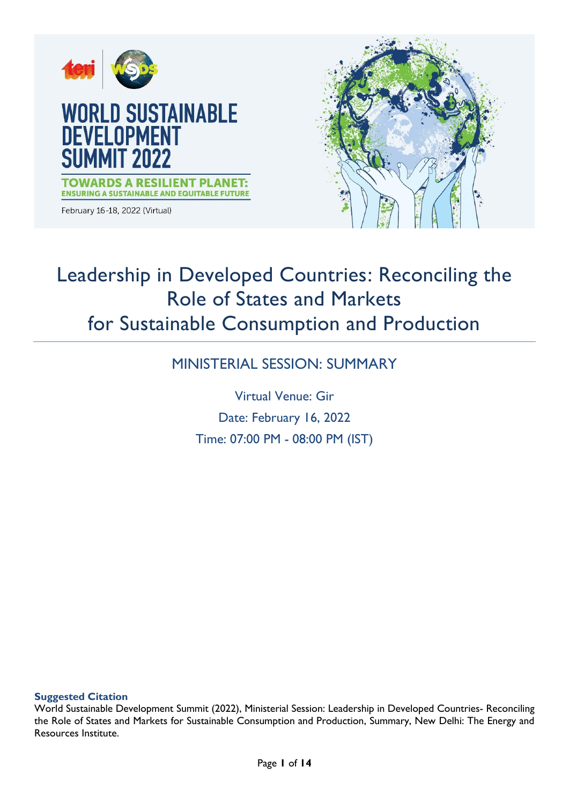

# Leadership in Developed Countries: Reconciling the Role of States and Markets for Sustainable Consumption and Production

# MINISTERIAL SESSION: SUMMARY

Virtual Venue: Gir Date: February 16, 2022 Time: 07:00 PM - 08:00 PM (IST)

### **Suggested Citation**

World Sustainable Development Summit (2022), Ministerial Session: Leadership in Developed Countries- Reconciling the Role of States and Markets for Sustainable Consumption and Production, Summary, New Delhi: The Energy and Resources Institute.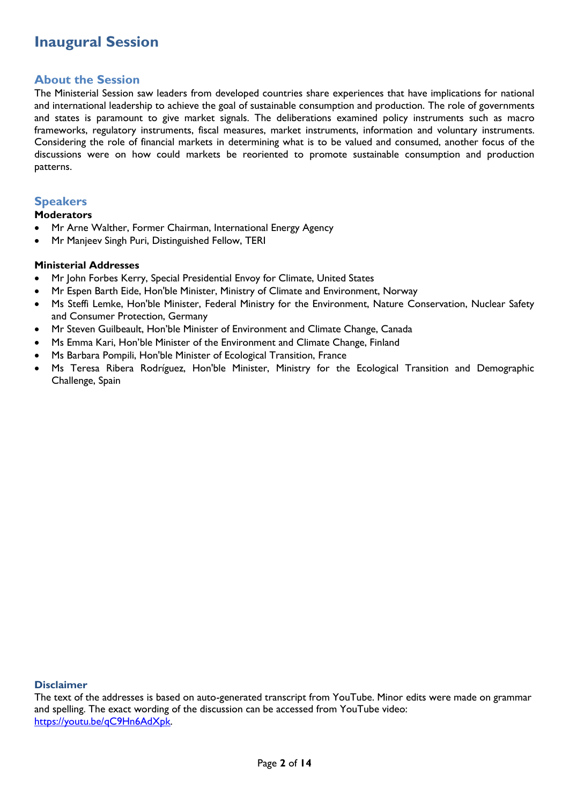# **Inaugural Session**

### **About the Session**

The Ministerial Session saw leaders from developed countries share experiences that have implications for national and international leadership to achieve the goal of sustainable consumption and production. The role of governments and states is paramount to give market signals. The deliberations examined policy instruments such as macro frameworks, regulatory instruments, fiscal measures, market instruments, information and voluntary instruments. Considering the role of financial markets in determining what is to be valued and consumed, another focus of the discussions were on how could markets be reoriented to promote sustainable consumption and production patterns.

### **Speakers**

### **Moderators**

- Mr Arne Walther, Former Chairman, International Energy Agency
- Mr Manjeev Singh Puri, Distinguished Fellow, TERI

### **Ministerial Addresses**

- Mr John Forbes Kerry, Special Presidential Envoy for Climate, United States
- Mr Espen Barth Eide, Hon'ble Minister, Ministry of Climate and Environment, Norway
- Ms Steffi Lemke, Hon'ble Minister, Federal Ministry for the Environment, Nature Conservation, Nuclear Safety and Consumer Protection, Germany
- Mr Steven Guilbeault, Hon'ble Minister of Environment and Climate Change, Canada
- Ms Emma Kari, Hon'ble Minister of the Environment and Climate Change, Finland
- Ms Barbara Pompili, Hon'ble Minister of Ecological Transition, France
- Ms Teresa Ribera Rodríguez, Hon'ble Minister, Ministry for the Ecological Transition and Demographic Challenge, Spain

### **Disclaimer**

The text of the addresses is based on auto-generated transcript from YouTube. Minor edits were made on grammar and spelling. The exact wording of the discussion can be accessed from YouTube video: [https://youtu.be/qC9Hn6AdXpk.](https://youtu.be/qC9Hn6AdXpk)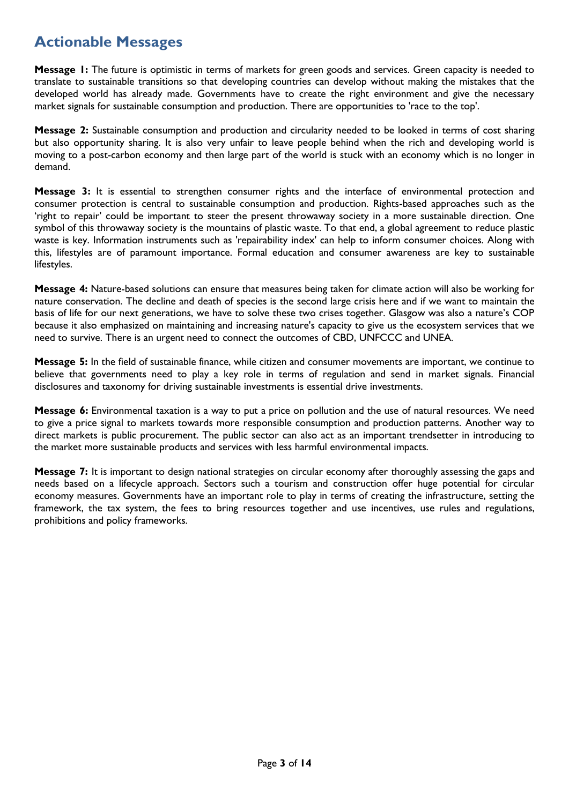# **Actionable Messages**

**Message 1:** The future is optimistic in terms of markets for green goods and services. Green capacity is needed to translate to sustainable transitions so that developing countries can develop without making the mistakes that the developed world has already made. Governments have to create the right environment and give the necessary market signals for sustainable consumption and production. There are opportunities to 'race to the top'.

**Message 2:** Sustainable consumption and production and circularity needed to be looked in terms of cost sharing but also opportunity sharing. It is also very unfair to leave people behind when the rich and developing world is moving to a post-carbon economy and then large part of the world is stuck with an economy which is no longer in demand.

**Message 3:** It is essential to strengthen consumer rights and the interface of environmental protection and consumer protection is central to sustainable consumption and production. Rights-based approaches such as the 'right to repair' could be important to steer the present throwaway society in a more sustainable direction. One symbol of this throwaway society is the mountains of plastic waste. To that end, a global agreement to reduce plastic waste is key. Information instruments such as 'repairability index' can help to inform consumer choices. Along with this, lifestyles are of paramount importance. Formal education and consumer awareness are key to sustainable lifestyles.

**Message 4:** Nature-based solutions can ensure that measures being taken for climate action will also be working for nature conservation. The decline and death of species is the second large crisis here and if we want to maintain the basis of life for our next generations, we have to solve these two crises together. Glasgow was also a nature's COP because it also emphasized on maintaining and increasing nature's capacity to give us the ecosystem services that we need to survive. There is an urgent need to connect the outcomes of CBD, UNFCCC and UNEA.

**Message 5:** In the field of sustainable finance, while citizen and consumer movements are important, we continue to believe that governments need to play a key role in terms of regulation and send in market signals. Financial disclosures and taxonomy for driving sustainable investments is essential drive investments.

**Message 6:** Environmental taxation is a way to put a price on pollution and the use of natural resources. We need to give a price signal to markets towards more responsible consumption and production patterns. Another way to direct markets is public procurement. The public sector can also act as an important trendsetter in introducing to the market more sustainable products and services with less harmful environmental impacts.

**Message 7:** It is important to design national strategies on circular economy after thoroughly assessing the gaps and needs based on a lifecycle approach. Sectors such a tourism and construction offer huge potential for circular economy measures. Governments have an important role to play in terms of creating the infrastructure, setting the framework, the tax system, the fees to bring resources together and use incentives, use rules and regulations, prohibitions and policy frameworks.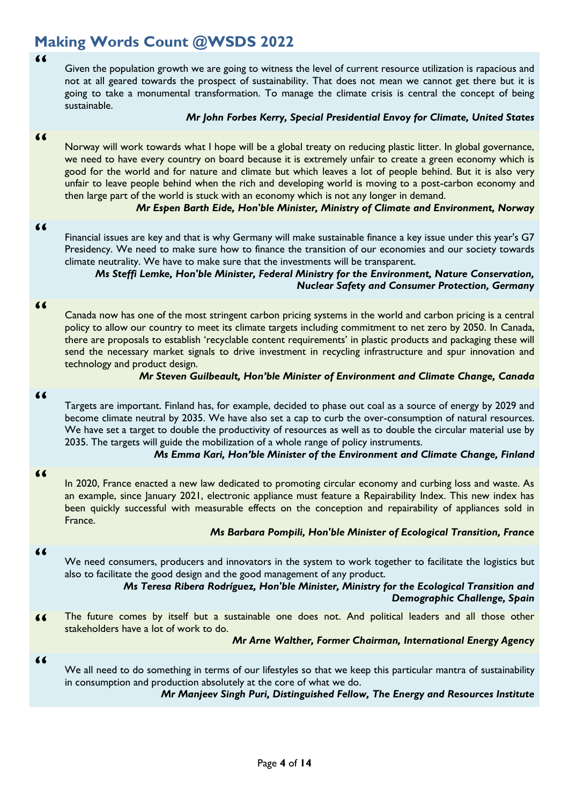# **Making Words Count @WSDS 2022**

**"**

Given the population growth we are going to witness the level of current resource utilization is rapacious and not at all geared towards the prospect of sustainability. That does not mean we cannot get there but it is going to take a monumental transformation. To manage the climate crisis is central the concept of being sustainable.

### *Mr John Forbes Kerry, Special Presidential Envoy for Climate, United States*

#### **"**

Norway will work towards what I hope will be a global treaty on reducing plastic litter. In global governance, we need to have every country on board because it is extremely unfair to create a green economy which is good for the world and for nature and climate but which leaves a lot of people behind. But it is also very unfair to leave people behind when the rich and developing world is moving to a post-carbon economy and then large part of the world is stuck with an economy which is not any longer in demand.

### *Mr Espen Barth Eide, Hon'ble Minister, Ministry of Climate and Environment, Norway*

#### **"**

Financial issues are key and that is why Germany will make sustainable finance a key issue under this year's G7 Presidency. We need to make sure how to finance the transition of our economies and our society towards climate neutrality. We have to make sure that the investments will be transparent.

### *Ms Steffi Lemke, Hon'ble Minister, Federal Ministry for the Environment, Nature Conservation, Nuclear Safety and Consumer Protection, Germany*

#### **"**

Canada now has one of the most stringent carbon pricing systems in the world and carbon pricing is a central policy to allow our country to meet its climate targets including commitment to net zero by 2050. In Canada, there are proposals to establish 'recyclable content requirements' in plastic products and packaging these will send the necessary market signals to drive investment in recycling infrastructure and spur innovation and technology and product design.

### *Mr Steven Guilbeault, Hon'ble Minister of Environment and Climate Change, Canada*

### **"**

Targets are important. Finland has, for example, decided to phase out coal as a source of energy by 2029 and become climate neutral by 2035. We have also set a cap to curb the over-consumption of natural resources. We have set a target to double the productivity of resources as well as to double the circular material use by 2035. The targets will guide the mobilization of a whole range of policy instruments.

*Ms Emma Kari, Hon'ble Minister of the Environment and Climate Change, Finland*

#### **"**

In 2020, France enacted a new law dedicated to promoting circular economy and curbing loss and waste. As an example, since January 2021, electronic appliance must feature a Repairability Index. This new index has been quickly successful with measurable effects on the conception and repairability of appliances sold in France.

### *Ms Barbara Pompili, Hon'ble Minister of Ecological Transition, France*

#### **"**

We need consumers, producers and innovators in the system to work together to facilitate the logistics but also to facilitate the good design and the good management of any product.

### *Ms Teresa Ribera Rodríguez, Hon'ble Minister, Ministry for the Ecological Transition and Demographic Challenge, Spain*

**"** The future comes by itself but a sustainable one does not. And political leaders and all those other stakeholders have a lot of work to do.

### *Mr Arne Walther, Former Chairman, International Energy Agency*

### **"**

We all need to do something in terms of our lifestyles so that we keep this particular mantra of sustainability in consumption and production absolutely at the core of what we do.

*Mr Manjeev Singh Puri, Distinguished Fellow, The Energy and Resources Institute*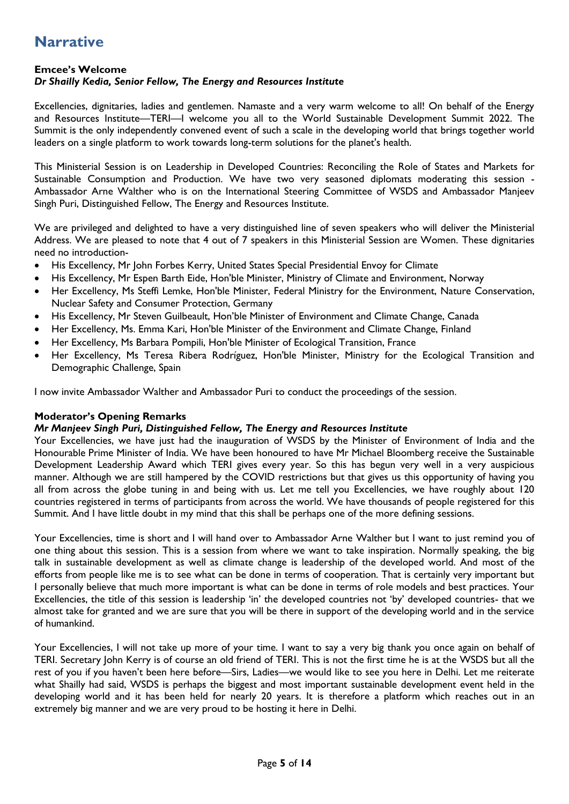# **Narrative**

### **Emcee's Welcome**

### *Dr Shailly Kedia, Senior Fellow, The Energy and Resources Institute*

Excellencies, dignitaries, ladies and gentlemen. Namaste and a very warm welcome to all! On behalf of the Energy and Resources Institute—TERI—I welcome you all to the World Sustainable Development Summit 2022. The Summit is the only independently convened event of such a scale in the developing world that brings together world leaders on a single platform to work towards long-term solutions for the planet's health.

This Ministerial Session is on Leadership in Developed Countries: Reconciling the Role of States and Markets for Sustainable Consumption and Production. We have two very seasoned diplomats moderating this session - Ambassador Arne Walther who is on the International Steering Committee of WSDS and Ambassador Manjeev Singh Puri, Distinguished Fellow, The Energy and Resources Institute.

We are privileged and delighted to have a very distinguished line of seven speakers who will deliver the Ministerial Address. We are pleased to note that 4 out of 7 speakers in this Ministerial Session are Women. These dignitaries need no introduction-

- His Excellency, Mr John Forbes Kerry, United States Special Presidential Envoy for Climate
- His Excellency, Mr Espen Barth Eide, Hon'ble Minister, Ministry of Climate and Environment, Norway
- Her Excellency, Ms Steffi Lemke, Hon'ble Minister, Federal Ministry for the Environment, Nature Conservation, Nuclear Safety and Consumer Protection, Germany
- His Excellency, Mr Steven Guilbeault, Hon'ble Minister of Environment and Climate Change, Canada
- Her Excellency, Ms. Emma Kari, Hon'ble Minister of the Environment and Climate Change, Finland
- Her Excellency, Ms Barbara Pompili, Hon'ble Minister of Ecological Transition, France
- Her Excellency, Ms Teresa Ribera Rodríguez, Hon'ble Minister, Ministry for the Ecological Transition and Demographic Challenge, Spain

I now invite Ambassador Walther and Ambassador Puri to conduct the proceedings of the session.

### **Moderator's Opening Remarks**

### *Mr Manjeev Singh Puri, Distinguished Fellow, The Energy and Resources Institute*

Your Excellencies, we have just had the inauguration of WSDS by the Minister of Environment of India and the Honourable Prime Minister of India. We have been honoured to have Mr Michael Bloomberg receive the Sustainable Development Leadership Award which TERI gives every year. So this has begun very well in a very auspicious manner. Although we are still hampered by the COVID restrictions but that gives us this opportunity of having you all from across the globe tuning in and being with us. Let me tell you Excellencies, we have roughly about 120 countries registered in terms of participants from across the world. We have thousands of people registered for this Summit. And I have little doubt in my mind that this shall be perhaps one of the more defining sessions.

Your Excellencies, time is short and I will hand over to Ambassador Arne Walther but I want to just remind you of one thing about this session. This is a session from where we want to take inspiration. Normally speaking, the big talk in sustainable development as well as climate change is leadership of the developed world. And most of the efforts from people like me is to see what can be done in terms of cooperation. That is certainly very important but I personally believe that much more important is what can be done in terms of role models and best practices. Your Excellencies, the title of this session is leadership 'in' the developed countries not 'by' developed countries- that we almost take for granted and we are sure that you will be there in support of the developing world and in the service of humankind.

Your Excellencies, I will not take up more of your time. I want to say a very big thank you once again on behalf of TERI. Secretary John Kerry is of course an old friend of TERI. This is not the first time he is at the WSDS but all the rest of you if you haven't been here before—Sirs, Ladies—we would like to see you here in Delhi. Let me reiterate what Shailly had said, WSDS is perhaps the biggest and most important sustainable development event held in the developing world and it has been held for nearly 20 years. It is therefore a platform which reaches out in an extremely big manner and we are very proud to be hosting it here in Delhi.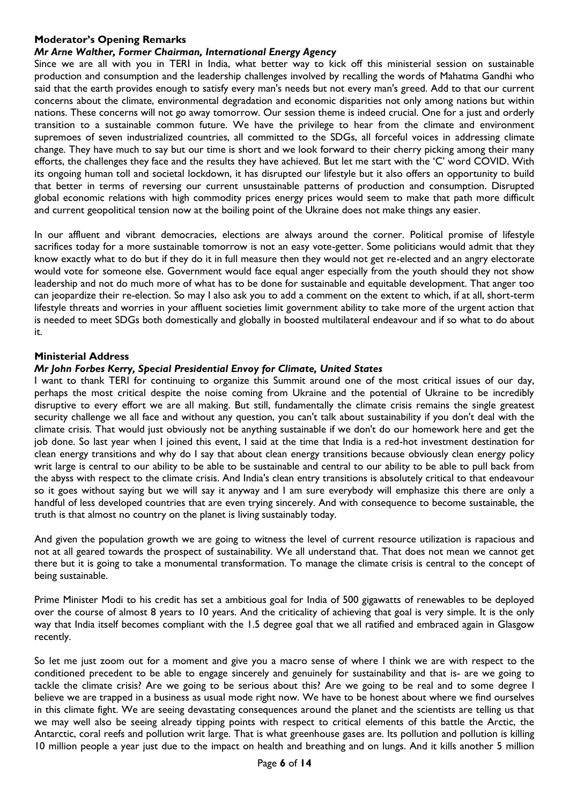### **Moderator's Opening Remarks**

## *Mr Arne Walther, Former Chairman, International Energy Agency*

Since we are all with you in TERI in India, what better way to kick off this ministerial session on sustainable production and consumption and the leadership challenges involved by recalling the words of Mahatma Gandhi who said that the earth provides enough to satisfy every man's needs but not every man's greed. Add to that our current concerns about the climate, environmental degradation and economic disparities not only among nations but within nations. These concerns will not go away tomorrow. Our session theme is indeed crucial. One for a just and orderly transition to a sustainable common future. We have the privilege to hear from the climate and environment supremoes of seven industrialized countries, all committed to the SDGs, all forceful voices in addressing climate change. They have much to say but our time is short and we look forward to their cherry picking among their many efforts, the challenges they face and the results they have achieved. But let me start with the 'C' word COVID. With its ongoing human toll and societal lockdown, it has disrupted our lifestyle but it also offers an opportunity to build that better in terms of reversing our current unsustainable patterns of production and consumption. Disrupted global economic relations with high commodity prices energy prices would seem to make that path more difficult and current geopolitical tension now at the boiling point of the Ukraine does not make things any easier.

In our affluent and vibrant democracies, elections are always around the corner. Political promise of lifestyle sacrifices today for a more sustainable tomorrow is not an easy vote-getter. Some politicians would admit that they know exactly what to do but if they do it in full measure then they would not get re-elected and an angry electorate would vote for someone else. Government would face equal anger especially from the youth should they not show leadership and not do much more of what has to be done for sustainable and equitable development. That anger too can jeopardize their re-election. So may I also ask you to add a comment on the extent to which, if at all, short-term lifestyle threats and worries in your affluent societies limit government ability to take more of the urgent action that is needed to meet SDGs both domestically and globally in boosted multilateral endeavour and if so what to do about it.

### **Ministerial Address**

### *Mr John Forbes Kerry, Special Presidential Envoy for Climate, United States*

I want to thank TERI for continuing to organize this Summit around one of the most critical issues of our day, perhaps the most critical despite the noise coming from Ukraine and the potential of Ukraine to be incredibly disruptive to every effort we are all making. But still, fundamentally the climate crisis remains the single greatest security challenge we all face and without any question, you can't talk about sustainability if you don't deal with the climate crisis. That would just obviously not be anything sustainable if we don't do our homework here and get the job done. So last year when I joined this event, I said at the time that India is a red-hot investment destination for clean energy transitions and why do I say that about clean energy transitions because obviously clean energy policy writ large is central to our ability to be able to be sustainable and central to our ability to be able to pull back from the abyss with respect to the climate crisis. And India's clean entry transitions is absolutely critical to that endeavour so it goes without saying but we will say it anyway and I am sure everybody will emphasize this there are only a handful of less developed countries that are even trying sincerely. And with consequence to become sustainable, the truth is that almost no country on the planet is living sustainably today.

And given the population growth we are going to witness the level of current resource utilization is rapacious and not at all geared towards the prospect of sustainability. We all understand that. That does not mean we cannot get there but it is going to take a monumental transformation. To manage the climate crisis is central to the concept of being sustainable.

Prime Minister Modi to his credit has set a ambitious goal for India of 500 gigawatts of renewables to be deployed over the course of almost 8 years to 10 years. And the criticality of achieving that goal is very simple. It is the only way that India itself becomes compliant with the 1.5 degree goal that we all ratified and embraced again in Glasgow recently.

So let me just zoom out for a moment and give you a macro sense of where I think we are with respect to the conditioned precedent to be able to engage sincerely and genuinely for sustainability and that is- are we going to tackle the climate crisis? Are we going to be serious about this? Are we going to be real and to some degree I believe we are trapped in a business as usual mode right now. We have to be honest about where we find ourselves in this climate fight. We are seeing devastating consequences around the planet and the scientists are telling us that we may well also be seeing already tipping points with respect to critical elements of this battle the Arctic, the Antarctic, coral reefs and pollution writ large. That is what greenhouse gases are. Its pollution and pollution is killing 10 million people a year just due to the impact on health and breathing and on lungs. And it kills another 5 million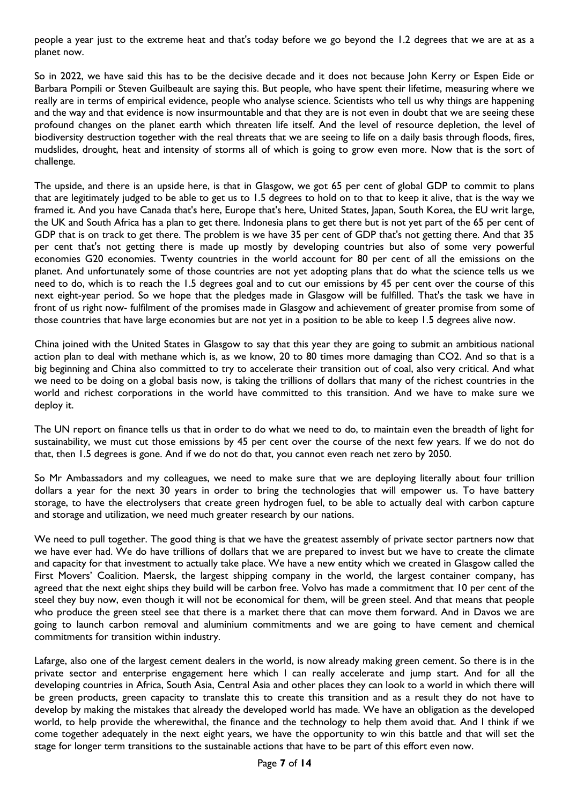people a year just to the extreme heat and that's today before we go beyond the 1.2 degrees that we are at as a planet now.

So in 2022, we have said this has to be the decisive decade and it does not because John Kerry or Espen Eide or Barbara Pompili or Steven Guilbeault are saying this. But people, who have spent their lifetime, measuring where we really are in terms of empirical evidence, people who analyse science. Scientists who tell us why things are happening and the way and that evidence is now insurmountable and that they are is not even in doubt that we are seeing these profound changes on the planet earth which threaten life itself. And the level of resource depletion, the level of biodiversity destruction together with the real threats that we are seeing to life on a daily basis through floods, fires, mudslides, drought, heat and intensity of storms all of which is going to grow even more. Now that is the sort of challenge.

The upside, and there is an upside here, is that in Glasgow, we got 65 per cent of global GDP to commit to plans that are legitimately judged to be able to get us to 1.5 degrees to hold on to that to keep it alive, that is the way we framed it. And you have Canada that's here, Europe that's here, United States, Japan, South Korea, the EU writ large, the UK and South Africa has a plan to get there. Indonesia plans to get there but is not yet part of the 65 per cent of GDP that is on track to get there. The problem is we have 35 per cent of GDP that's not getting there. And that 35 per cent that's not getting there is made up mostly by developing countries but also of some very powerful economies G20 economies. Twenty countries in the world account for 80 per cent of all the emissions on the planet. And unfortunately some of those countries are not yet adopting plans that do what the science tells us we need to do, which is to reach the 1.5 degrees goal and to cut our emissions by 45 per cent over the course of this next eight-year period. So we hope that the pledges made in Glasgow will be fulfilled. That's the task we have in front of us right now- fulfilment of the promises made in Glasgow and achievement of greater promise from some of those countries that have large economies but are not yet in a position to be able to keep 1.5 degrees alive now.

China joined with the United States in Glasgow to say that this year they are going to submit an ambitious national action plan to deal with methane which is, as we know, 20 to 80 times more damaging than CO2. And so that is a big beginning and China also committed to try to accelerate their transition out of coal, also very critical. And what we need to be doing on a global basis now, is taking the trillions of dollars that many of the richest countries in the world and richest corporations in the world have committed to this transition. And we have to make sure we deploy it.

The UN report on finance tells us that in order to do what we need to do, to maintain even the breadth of light for sustainability, we must cut those emissions by 45 per cent over the course of the next few years. If we do not do that, then 1.5 degrees is gone. And if we do not do that, you cannot even reach net zero by 2050.

So Mr Ambassadors and my colleagues, we need to make sure that we are deploying literally about four trillion dollars a year for the next 30 years in order to bring the technologies that will empower us. To have battery storage, to have the electrolysers that create green hydrogen fuel, to be able to actually deal with carbon capture and storage and utilization, we need much greater research by our nations.

We need to pull together. The good thing is that we have the greatest assembly of private sector partners now that we have ever had. We do have trillions of dollars that we are prepared to invest but we have to create the climate and capacity for that investment to actually take place. We have a new entity which we created in Glasgow called the First Movers' Coalition. Maersk, the largest shipping company in the world, the largest container company, has agreed that the next eight ships they build will be carbon free. Volvo has made a commitment that 10 per cent of the steel they buy now, even though it will not be economical for them, will be green steel. And that means that people who produce the green steel see that there is a market there that can move them forward. And in Davos we are going to launch carbon removal and aluminium commitments and we are going to have cement and chemical commitments for transition within industry.

Lafarge, also one of the largest cement dealers in the world, is now already making green cement. So there is in the private sector and enterprise engagement here which I can really accelerate and jump start. And for all the developing countries in Africa, South Asia, Central Asia and other places they can look to a world in which there will be green products, green capacity to translate this to create this transition and as a result they do not have to develop by making the mistakes that already the developed world has made. We have an obligation as the developed world, to help provide the wherewithal, the finance and the technology to help them avoid that. And I think if we come together adequately in the next eight years, we have the opportunity to win this battle and that will set the stage for longer term transitions to the sustainable actions that have to be part of this effort even now.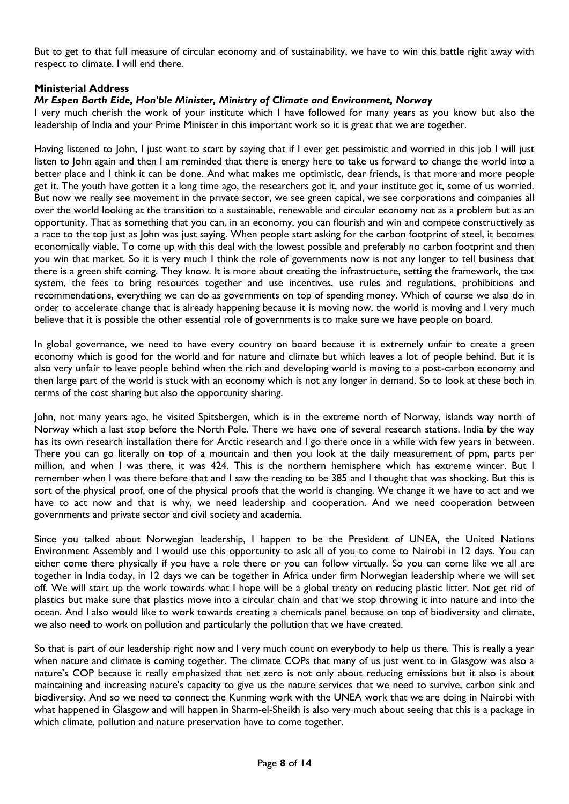But to get to that full measure of circular economy and of sustainability, we have to win this battle right away with respect to climate. I will end there.

### **Ministerial Address**

### *Mr Espen Barth Eide, Hon'ble Minister, Ministry of Climate and Environment, Norway*

I very much cherish the work of your institute which I have followed for many years as you know but also the leadership of India and your Prime Minister in this important work so it is great that we are together.

Having listened to John, I just want to start by saying that if I ever get pessimistic and worried in this job I will just listen to John again and then I am reminded that there is energy here to take us forward to change the world into a better place and I think it can be done. And what makes me optimistic, dear friends, is that more and more people get it. The youth have gotten it a long time ago, the researchers got it, and your institute got it, some of us worried. But now we really see movement in the private sector, we see green capital, we see corporations and companies all over the world looking at the transition to a sustainable, renewable and circular economy not as a problem but as an opportunity. That as something that you can, in an economy, you can flourish and win and compete constructively as a race to the top just as John was just saying. When people start asking for the carbon footprint of steel, it becomes economically viable. To come up with this deal with the lowest possible and preferably no carbon footprint and then you win that market. So it is very much I think the role of governments now is not any longer to tell business that there is a green shift coming. They know. It is more about creating the infrastructure, setting the framework, the tax system, the fees to bring resources together and use incentives, use rules and regulations, prohibitions and recommendations, everything we can do as governments on top of spending money. Which of course we also do in order to accelerate change that is already happening because it is moving now, the world is moving and I very much believe that it is possible the other essential role of governments is to make sure we have people on board.

In global governance, we need to have every country on board because it is extremely unfair to create a green economy which is good for the world and for nature and climate but which leaves a lot of people behind. But it is also very unfair to leave people behind when the rich and developing world is moving to a post-carbon economy and then large part of the world is stuck with an economy which is not any longer in demand. So to look at these both in terms of the cost sharing but also the opportunity sharing.

John, not many years ago, he visited Spitsbergen, which is in the extreme north of Norway, islands way north of Norway which a last stop before the North Pole. There we have one of several research stations. India by the way has its own research installation there for Arctic research and I go there once in a while with few years in between. There you can go literally on top of a mountain and then you look at the daily measurement of ppm, parts per million, and when I was there, it was 424. This is the northern hemisphere which has extreme winter. But I remember when I was there before that and I saw the reading to be 385 and I thought that was shocking. But this is sort of the physical proof, one of the physical proofs that the world is changing. We change it we have to act and we have to act now and that is why, we need leadership and cooperation. And we need cooperation between governments and private sector and civil society and academia.

Since you talked about Norwegian leadership, I happen to be the President of UNEA, the United Nations Environment Assembly and I would use this opportunity to ask all of you to come to Nairobi in 12 days. You can either come there physically if you have a role there or you can follow virtually. So you can come like we all are together in India today, in 12 days we can be together in Africa under firm Norwegian leadership where we will set off. We will start up the work towards what I hope will be a global treaty on reducing plastic litter. Not get rid of plastics but make sure that plastics move into a circular chain and that we stop throwing it into nature and into the ocean. And I also would like to work towards creating a chemicals panel because on top of biodiversity and climate, we also need to work on pollution and particularly the pollution that we have created.

So that is part of our leadership right now and I very much count on everybody to help us there. This is really a year when nature and climate is coming together. The climate COPs that many of us just went to in Glasgow was also a nature's COP because it really emphasized that net zero is not only about reducing emissions but it also is about maintaining and increasing nature's capacity to give us the nature services that we need to survive, carbon sink and biodiversity. And so we need to connect the Kunming work with the UNEA work that we are doing in Nairobi with what happened in Glasgow and will happen in Sharm-el-Sheikh is also very much about seeing that this is a package in which climate, pollution and nature preservation have to come together.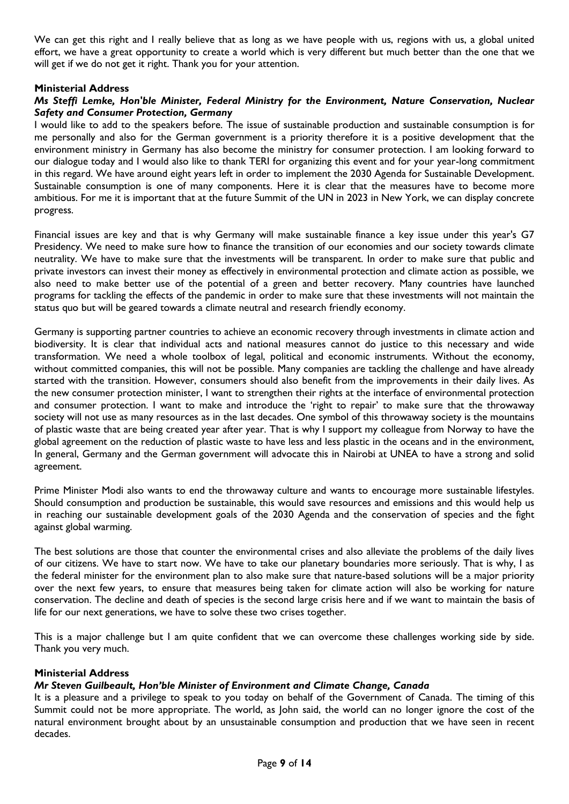We can get this right and I really believe that as long as we have people with us, regions with us, a global united effort, we have a great opportunity to create a world which is very different but much better than the one that we will get if we do not get it right. Thank you for your attention.

### **Ministerial Address**

### *Ms Steffi Lemke, Hon'ble Minister, Federal Ministry for the Environment, Nature Conservation, Nuclear Safety and Consumer Protection, Germany*

I would like to add to the speakers before. The issue of sustainable production and sustainable consumption is for me personally and also for the German government is a priority therefore it is a positive development that the environment ministry in Germany has also become the ministry for consumer protection. I am looking forward to our dialogue today and I would also like to thank TERI for organizing this event and for your year-long commitment in this regard. We have around eight years left in order to implement the 2030 Agenda for Sustainable Development. Sustainable consumption is one of many components. Here it is clear that the measures have to become more ambitious. For me it is important that at the future Summit of the UN in 2023 in New York, we can display concrete progress.

Financial issues are key and that is why Germany will make sustainable finance a key issue under this year's G7 Presidency. We need to make sure how to finance the transition of our economies and our society towards climate neutrality. We have to make sure that the investments will be transparent. In order to make sure that public and private investors can invest their money as effectively in environmental protection and climate action as possible, we also need to make better use of the potential of a green and better recovery. Many countries have launched programs for tackling the effects of the pandemic in order to make sure that these investments will not maintain the status quo but will be geared towards a climate neutral and research friendly economy.

Germany is supporting partner countries to achieve an economic recovery through investments in climate action and biodiversity. It is clear that individual acts and national measures cannot do justice to this necessary and wide transformation. We need a whole toolbox of legal, political and economic instruments. Without the economy, without committed companies, this will not be possible. Many companies are tackling the challenge and have already started with the transition. However, consumers should also benefit from the improvements in their daily lives. As the new consumer protection minister, I want to strengthen their rights at the interface of environmental protection and consumer protection. I want to make and introduce the 'right to repair' to make sure that the throwaway society will not use as many resources as in the last decades. One symbol of this throwaway society is the mountains of plastic waste that are being created year after year. That is why I support my colleague from Norway to have the global agreement on the reduction of plastic waste to have less and less plastic in the oceans and in the environment, In general, Germany and the German government will advocate this in Nairobi at UNEA to have a strong and solid agreement.

Prime Minister Modi also wants to end the throwaway culture and wants to encourage more sustainable lifestyles. Should consumption and production be sustainable, this would save resources and emissions and this would help us in reaching our sustainable development goals of the 2030 Agenda and the conservation of species and the fight against global warming.

The best solutions are those that counter the environmental crises and also alleviate the problems of the daily lives of our citizens. We have to start now. We have to take our planetary boundaries more seriously. That is why, I as the federal minister for the environment plan to also make sure that nature-based solutions will be a major priority over the next few years, to ensure that measures being taken for climate action will also be working for nature conservation. The decline and death of species is the second large crisis here and if we want to maintain the basis of life for our next generations, we have to solve these two crises together.

This is a major challenge but I am quite confident that we can overcome these challenges working side by side. Thank you very much.

### **Ministerial Address**

### *Mr Steven Guilbeault, Hon'ble Minister of Environment and Climate Change, Canada*

It is a pleasure and a privilege to speak to you today on behalf of the Government of Canada. The timing of this Summit could not be more appropriate. The world, as John said, the world can no longer ignore the cost of the natural environment brought about by an unsustainable consumption and production that we have seen in recent decades.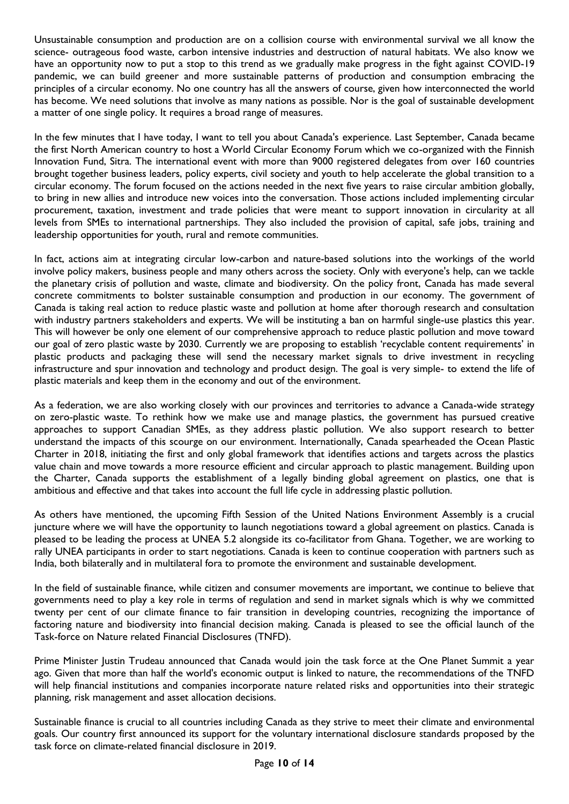Unsustainable consumption and production are on a collision course with environmental survival we all know the science- outrageous food waste, carbon intensive industries and destruction of natural habitats. We also know we have an opportunity now to put a stop to this trend as we gradually make progress in the fight against COVID-19 pandemic, we can build greener and more sustainable patterns of production and consumption embracing the principles of a circular economy. No one country has all the answers of course, given how interconnected the world has become. We need solutions that involve as many nations as possible. Nor is the goal of sustainable development a matter of one single policy. It requires a broad range of measures.

In the few minutes that I have today, I want to tell you about Canada's experience. Last September, Canada became the first North American country to host a World Circular Economy Forum which we co-organized with the Finnish Innovation Fund, Sitra. The international event with more than 9000 registered delegates from over 160 countries brought together business leaders, policy experts, civil society and youth to help accelerate the global transition to a circular economy. The forum focused on the actions needed in the next five years to raise circular ambition globally, to bring in new allies and introduce new voices into the conversation. Those actions included implementing circular procurement, taxation, investment and trade policies that were meant to support innovation in circularity at all levels from SMEs to international partnerships. They also included the provision of capital, safe jobs, training and leadership opportunities for youth, rural and remote communities.

In fact, actions aim at integrating circular low-carbon and nature-based solutions into the workings of the world involve policy makers, business people and many others across the society. Only with everyone's help, can we tackle the planetary crisis of pollution and waste, climate and biodiversity. On the policy front, Canada has made several concrete commitments to bolster sustainable consumption and production in our economy. The government of Canada is taking real action to reduce plastic waste and pollution at home after thorough research and consultation with industry partners stakeholders and experts. We will be instituting a ban on harmful single-use plastics this year. This will however be only one element of our comprehensive approach to reduce plastic pollution and move toward our goal of zero plastic waste by 2030. Currently we are proposing to establish 'recyclable content requirements' in plastic products and packaging these will send the necessary market signals to drive investment in recycling infrastructure and spur innovation and technology and product design. The goal is very simple- to extend the life of plastic materials and keep them in the economy and out of the environment.

As a federation, we are also working closely with our provinces and territories to advance a Canada-wide strategy on zero-plastic waste. To rethink how we make use and manage plastics, the government has pursued creative approaches to support Canadian SMEs, as they address plastic pollution. We also support research to better understand the impacts of this scourge on our environment. Internationally, Canada spearheaded the Ocean Plastic Charter in 2018, initiating the first and only global framework that identifies actions and targets across the plastics value chain and move towards a more resource efficient and circular approach to plastic management. Building upon the Charter, Canada supports the establishment of a legally binding global agreement on plastics, one that is ambitious and effective and that takes into account the full life cycle in addressing plastic pollution.

As others have mentioned, the upcoming Fifth Session of the United Nations Environment Assembly is a crucial juncture where we will have the opportunity to launch negotiations toward a global agreement on plastics. Canada is pleased to be leading the process at UNEA 5.2 alongside its co-facilitator from Ghana. Together, we are working to rally UNEA participants in order to start negotiations. Canada is keen to continue cooperation with partners such as India, both bilaterally and in multilateral fora to promote the environment and sustainable development.

In the field of sustainable finance, while citizen and consumer movements are important, we continue to believe that governments need to play a key role in terms of regulation and send in market signals which is why we committed twenty per cent of our climate finance to fair transition in developing countries, recognizing the importance of factoring nature and biodiversity into financial decision making. Canada is pleased to see the official launch of the Task-force on Nature related Financial Disclosures (TNFD).

Prime Minister Justin Trudeau announced that Canada would join the task force at the One Planet Summit a year ago. Given that more than half the world's economic output is linked to nature, the recommendations of the TNFD will help financial institutions and companies incorporate nature related risks and opportunities into their strategic planning, risk management and asset allocation decisions.

Sustainable finance is crucial to all countries including Canada as they strive to meet their climate and environmental goals. Our country first announced its support for the voluntary international disclosure standards proposed by the task force on climate-related financial disclosure in 2019.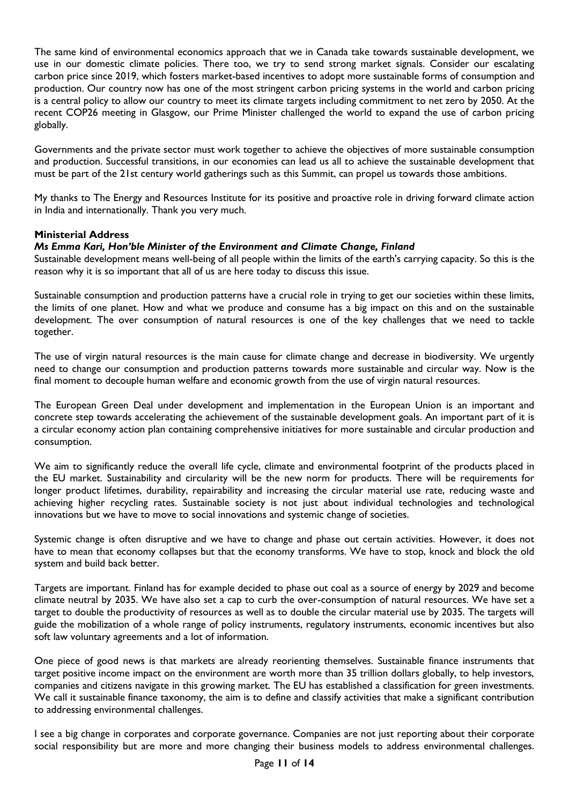The same kind of environmental economics approach that we in Canada take towards sustainable development, we use in our domestic climate policies. There too, we try to send strong market signals. Consider our escalating carbon price since 2019, which fosters market-based incentives to adopt more sustainable forms of consumption and production. Our country now has one of the most stringent carbon pricing systems in the world and carbon pricing is a central policy to allow our country to meet its climate targets including commitment to net zero by 2050. At the recent COP26 meeting in Glasgow, our Prime Minister challenged the world to expand the use of carbon pricing globally.

Governments and the private sector must work together to achieve the objectives of more sustainable consumption and production. Successful transitions, in our economies can lead us all to achieve the sustainable development that must be part of the 21st century world gatherings such as this Summit, can propel us towards those ambitions.

My thanks to The Energy and Resources Institute for its positive and proactive role in driving forward climate action in India and internationally. Thank you very much.

### **Ministerial Address**

### *Ms Emma Kari, Hon'ble Minister of the Environment and Climate Change, Finland*

Sustainable development means well-being of all people within the limits of the earth's carrying capacity. So this is the reason why it is so important that all of us are here today to discuss this issue.

Sustainable consumption and production patterns have a crucial role in trying to get our societies within these limits, the limits of one planet. How and what we produce and consume has a big impact on this and on the sustainable development. The over consumption of natural resources is one of the key challenges that we need to tackle together.

The use of virgin natural resources is the main cause for climate change and decrease in biodiversity. We urgently need to change our consumption and production patterns towards more sustainable and circular way. Now is the final moment to decouple human welfare and economic growth from the use of virgin natural resources.

The European Green Deal under development and implementation in the European Union is an important and concrete step towards accelerating the achievement of the sustainable development goals. An important part of it is a circular economy action plan containing comprehensive initiatives for more sustainable and circular production and consumption.

We aim to significantly reduce the overall life cycle, climate and environmental footprint of the products placed in the EU market. Sustainability and circularity will be the new norm for products. There will be requirements for longer product lifetimes, durability, repairability and increasing the circular material use rate, reducing waste and achieving higher recycling rates. Sustainable society is not just about individual technologies and technological innovations but we have to move to social innovations and systemic change of societies.

Systemic change is often disruptive and we have to change and phase out certain activities. However, it does not have to mean that economy collapses but that the economy transforms. We have to stop, knock and block the old system and build back better.

Targets are important. Finland has for example decided to phase out coal as a source of energy by 2029 and become climate neutral by 2035. We have also set a cap to curb the over-consumption of natural resources. We have set a target to double the productivity of resources as well as to double the circular material use by 2035. The targets will guide the mobilization of a whole range of policy instruments, regulatory instruments, economic incentives but also soft law voluntary agreements and a lot of information.

One piece of good news is that markets are already reorienting themselves. Sustainable finance instruments that target positive income impact on the environment are worth more than 35 trillion dollars globally, to help investors, companies and citizens navigate in this growing market. The EU has established a classification for green investments. We call it sustainable finance taxonomy, the aim is to define and classify activities that make a significant contribution to addressing environmental challenges.

I see a big change in corporates and corporate governance. Companies are not just reporting about their corporate social responsibility but are more and more changing their business models to address environmental challenges.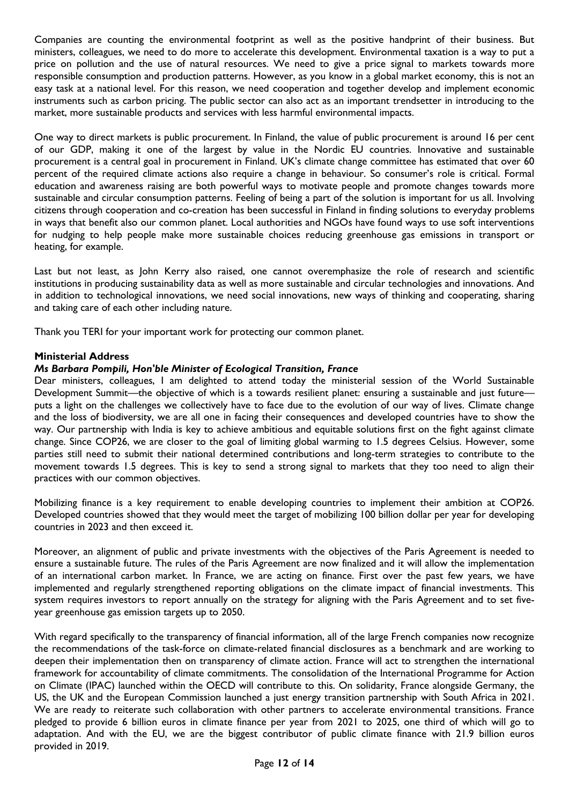Companies are counting the environmental footprint as well as the positive handprint of their business. But ministers, colleagues, we need to do more to accelerate this development. Environmental taxation is a way to put a price on pollution and the use of natural resources. We need to give a price signal to markets towards more responsible consumption and production patterns. However, as you know in a global market economy, this is not an easy task at a national level. For this reason, we need cooperation and together develop and implement economic instruments such as carbon pricing. The public sector can also act as an important trendsetter in introducing to the market, more sustainable products and services with less harmful environmental impacts.

One way to direct markets is public procurement. In Finland, the value of public procurement is around 16 per cent of our GDP, making it one of the largest by value in the Nordic EU countries. Innovative and sustainable procurement is a central goal in procurement in Finland. UK's climate change committee has estimated that over 60 percent of the required climate actions also require a change in behaviour. So consumer's role is critical. Formal education and awareness raising are both powerful ways to motivate people and promote changes towards more sustainable and circular consumption patterns. Feeling of being a part of the solution is important for us all. Involving citizens through cooperation and co-creation has been successful in Finland in finding solutions to everyday problems in ways that benefit also our common planet. Local authorities and NGOs have found ways to use soft interventions for nudging to help people make more sustainable choices reducing greenhouse gas emissions in transport or heating, for example.

Last but not least, as John Kerry also raised, one cannot overemphasize the role of research and scientific institutions in producing sustainability data as well as more sustainable and circular technologies and innovations. And in addition to technological innovations, we need social innovations, new ways of thinking and cooperating, sharing and taking care of each other including nature.

Thank you TERI for your important work for protecting our common planet.

### **Ministerial Address**

### *Ms Barbara Pompili, Hon'ble Minister of Ecological Transition, France*

Dear ministers, colleagues, I am delighted to attend today the ministerial session of the World Sustainable Development Summit—the objective of which is a towards resilient planet: ensuring a sustainable and just future puts a light on the challenges we collectively have to face due to the evolution of our way of lives. Climate change and the loss of biodiversity, we are all one in facing their consequences and developed countries have to show the way. Our partnership with India is key to achieve ambitious and equitable solutions first on the fight against climate change. Since COP26, we are closer to the goal of limiting global warming to 1.5 degrees Celsius. However, some parties still need to submit their national determined contributions and long-term strategies to contribute to the movement towards 1.5 degrees. This is key to send a strong signal to markets that they too need to align their practices with our common objectives.

Mobilizing finance is a key requirement to enable developing countries to implement their ambition at COP26. Developed countries showed that they would meet the target of mobilizing 100 billion dollar per year for developing countries in 2023 and then exceed it.

Moreover, an alignment of public and private investments with the objectives of the Paris Agreement is needed to ensure a sustainable future. The rules of the Paris Agreement are now finalized and it will allow the implementation of an international carbon market. In France, we are acting on finance. First over the past few years, we have implemented and regularly strengthened reporting obligations on the climate impact of financial investments. This system requires investors to report annually on the strategy for aligning with the Paris Agreement and to set fiveyear greenhouse gas emission targets up to 2050.

With regard specifically to the transparency of financial information, all of the large French companies now recognize the recommendations of the task-force on climate-related financial disclosures as a benchmark and are working to deepen their implementation then on transparency of climate action. France will act to strengthen the international framework for accountability of climate commitments. The consolidation of the International Programme for Action on Climate (IPAC) launched within the OECD will contribute to this. On solidarity, France alongside Germany, the US, the UK and the European Commission launched a just energy transition partnership with South Africa in 2021. We are ready to reiterate such collaboration with other partners to accelerate environmental transitions. France pledged to provide 6 billion euros in climate finance per year from 2021 to 2025, one third of which will go to adaptation. And with the EU, we are the biggest contributor of public climate finance with 21.9 billion euros provided in 2019.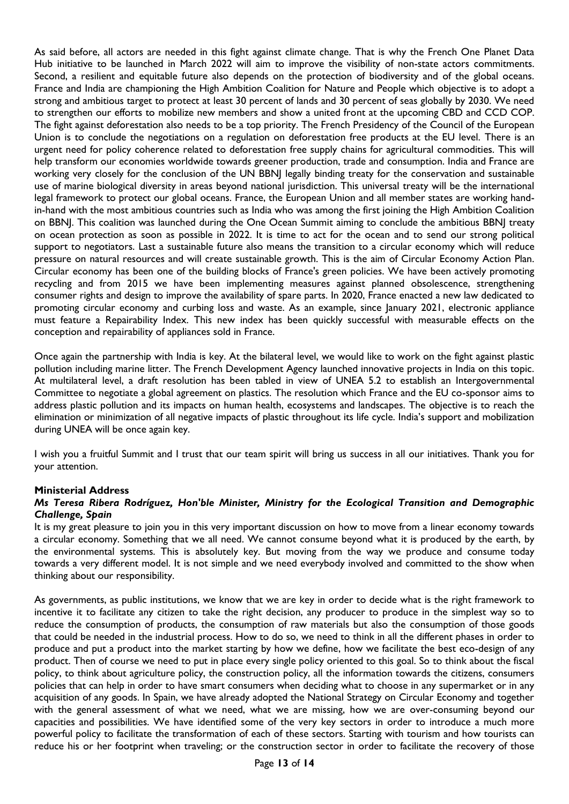As said before, all actors are needed in this fight against climate change. That is why the French One Planet Data Hub initiative to be launched in March 2022 will aim to improve the visibility of non-state actors commitments. Second, a resilient and equitable future also depends on the protection of biodiversity and of the global oceans. France and India are championing the High Ambition Coalition for Nature and People which objective is to adopt a strong and ambitious target to protect at least 30 percent of lands and 30 percent of seas globally by 2030. We need to strengthen our efforts to mobilize new members and show a united front at the upcoming CBD and CCD COP. The fight against deforestation also needs to be a top priority. The French Presidency of the Council of the European Union is to conclude the negotiations on a regulation on deforestation free products at the EU level. There is an urgent need for policy coherence related to deforestation free supply chains for agricultural commodities. This will help transform our economies worldwide towards greener production, trade and consumption. India and France are working very closely for the conclusion of the UN BBNJ legally binding treaty for the conservation and sustainable use of marine biological diversity in areas beyond national jurisdiction. This universal treaty will be the international legal framework to protect our global oceans. France, the European Union and all member states are working handin-hand with the most ambitious countries such as India who was among the first joining the High Ambition Coalition on BBNJ. This coalition was launched during the One Ocean Summit aiming to conclude the ambitious BBNJ treaty on ocean protection as soon as possible in 2022. It is time to act for the ocean and to send our strong political support to negotiators. Last a sustainable future also means the transition to a circular economy which will reduce pressure on natural resources and will create sustainable growth. This is the aim of Circular Economy Action Plan. Circular economy has been one of the building blocks of France's green policies. We have been actively promoting recycling and from 2015 we have been implementing measures against planned obsolescence, strengthening consumer rights and design to improve the availability of spare parts. In 2020, France enacted a new law dedicated to promoting circular economy and curbing loss and waste. As an example, since January 2021, electronic appliance must feature a Repairability Index. This new index has been quickly successful with measurable effects on the conception and repairability of appliances sold in France.

Once again the partnership with India is key. At the bilateral level, we would like to work on the fight against plastic pollution including marine litter. The French Development Agency launched innovative projects in India on this topic. At multilateral level, a draft resolution has been tabled in view of UNEA 5.2 to establish an Intergovernmental Committee to negotiate a global agreement on plastics. The resolution which France and the EU co-sponsor aims to address plastic pollution and its impacts on human health, ecosystems and landscapes. The objective is to reach the elimination or minimization of all negative impacts of plastic throughout its life cycle. India's support and mobilization during UNEA will be once again key.

I wish you a fruitful Summit and I trust that our team spirit will bring us success in all our initiatives. Thank you for your attention.

### **Ministerial Address**

### *Ms Teresa Ribera Rodríguez, Hon'ble Minister, Ministry for the Ecological Transition and Demographic Challenge, Spain*

It is my great pleasure to join you in this very important discussion on how to move from a linear economy towards a circular economy. Something that we all need. We cannot consume beyond what it is produced by the earth, by the environmental systems. This is absolutely key. But moving from the way we produce and consume today towards a very different model. It is not simple and we need everybody involved and committed to the show when thinking about our responsibility.

As governments, as public institutions, we know that we are key in order to decide what is the right framework to incentive it to facilitate any citizen to take the right decision, any producer to produce in the simplest way so to reduce the consumption of products, the consumption of raw materials but also the consumption of those goods that could be needed in the industrial process. How to do so, we need to think in all the different phases in order to produce and put a product into the market starting by how we define, how we facilitate the best eco-design of any product. Then of course we need to put in place every single policy oriented to this goal. So to think about the fiscal policy, to think about agriculture policy, the construction policy, all the information towards the citizens, consumers policies that can help in order to have smart consumers when deciding what to choose in any supermarket or in any acquisition of any goods. In Spain, we have already adopted the National Strategy on Circular Economy and together with the general assessment of what we need, what we are missing, how we are over-consuming beyond our capacities and possibilities. We have identified some of the very key sectors in order to introduce a much more powerful policy to facilitate the transformation of each of these sectors. Starting with tourism and how tourists can reduce his or her footprint when traveling; or the construction sector in order to facilitate the recovery of those